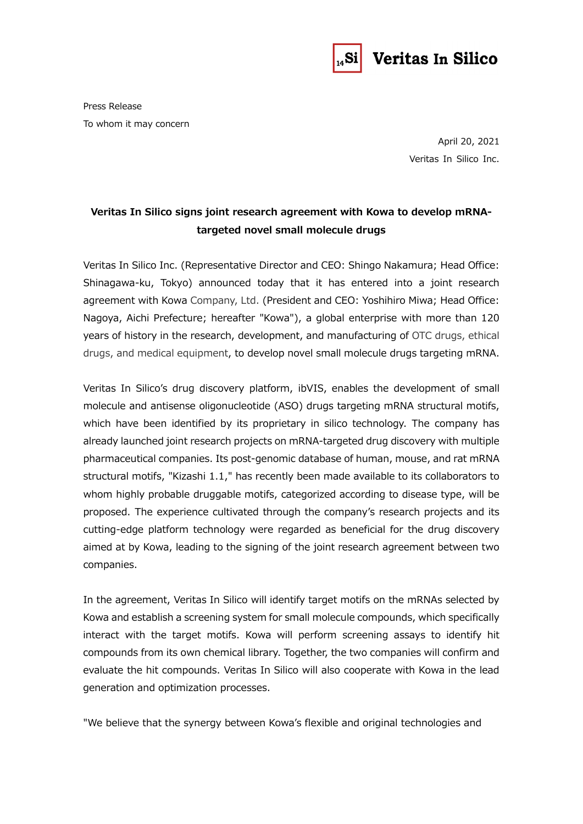

## Veritas In Silico

Press Release To whom it may concern

> April 20, 2021 Veritas In Silico Inc.

## **Veritas In Silico signs joint research agreement with Kowa to develop mRNAtargeted novel small molecule drugs**

Veritas In Silico Inc. (Representative Director and CEO: Shingo Nakamura; Head Office: Shinagawa-ku, Tokyo) announced today that it has entered into a joint research agreement with Kowa Company, Ltd. (President and CEO: Yoshihiro Miwa; Head Office: Nagoya, Aichi Prefecture; hereafter "Kowa"), a global enterprise with more than 120 years of history in the research, development, and manufacturing of OTC drugs, ethical drugs, and medical equipment, to develop novel small molecule drugs targeting mRNA.

Veritas In Silico's drug discovery platform, ibVIS, enables the development of small molecule and antisense oligonucleotide (ASO) drugs targeting mRNA structural motifs, which have been identified by its proprietary in silico technology. The company has already launched joint research projects on mRNA-targeted drug discovery with multiple pharmaceutical companies. Its post-genomic database of human, mouse, and rat mRNA structural motifs, "Kizashi 1.1," has recently been made available to its collaborators to whom highly probable druggable motifs, categorized according to disease type, will be proposed. The experience cultivated through the company's research projects and its cutting-edge platform technology were regarded as beneficial for the drug discovery aimed at by Kowa, leading to the signing of the joint research agreement between two companies.

In the agreement, Veritas In Silico will identify target motifs on the mRNAs selected by Kowa and establish a screening system for small molecule compounds, which specifically interact with the target motifs. Kowa will perform screening assays to identify hit compounds from its own chemical library. Together, the two companies will confirm and evaluate the hit compounds. Veritas In Silico will also cooperate with Kowa in the lead generation and optimization processes.

"We believe that the synergy between Kowa's flexible and original technologies and